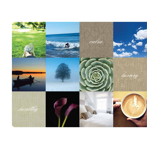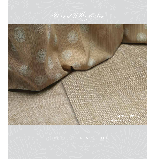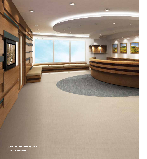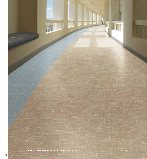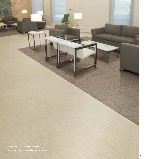**WOVEN - Oat Straw VIV114 PERENNIAL - Sandalwood VIV020** Π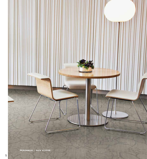PERENNIAL - Sere VIV026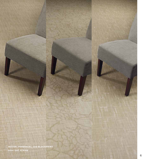WOVEN, PERENNIAL, and BLOCKPRINT<br>color OAT STRAW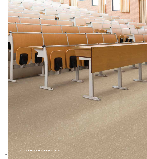**BLOCKPRINT - Parchment VIV223**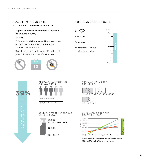# QUANTUM GUARD **®** HP: PATENTED PERFORMANCE

- Highest performance commercial urethane finish in the industry
- No polish
- Enhances durability, cleanability, appearance, and slip resistance when compared to standard resilient floors
- Significant reduction in overall lifecycle cost greatly lowers total cost of ownership



# MOH HARDNESS SCALE



d H<br>C<br>C

#### TOTAL ANNUAL COST PER SQ. FT.





### CUMULATIVE COST PER SQ. FT. BY YEAR



Break Even on Product and Maintenance Cost Difference Between: VCT VS. QGHP = 3 YEARS STANDARD RESILIENT VS. QGHP = 1 YEAR

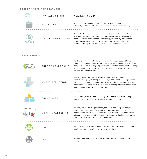## PERFORMANCE AND FEATURES

|                    | AVAILABLE SIZES               | Available in 6'. 9' and 12'                                                                                                                                                                                                                                                                                                                             |
|--------------------|-------------------------------|---------------------------------------------------------------------------------------------------------------------------------------------------------------------------------------------------------------------------------------------------------------------------------------------------------------------------------------------------------|
| $1 \Omega$<br>YEAR | WARRANTY                      | This product is backed by our Limited 10 Year Commercial<br>Warranty and Limited 10 Year Quantum Guard HP Wear Warranty.                                                                                                                                                                                                                                |
| D G H E            | QUANTUM GUARD <sup>®</sup> HP | The highest performance commercial urethane finish in the industry.<br>The patented aluminum oxide proprietary wearlayer eliminates the<br>need for polish, while enhancing durability, cleanability, appearance<br>retention and slip resistance when compared to standard resilient<br>floors - resulting in 39% annual savings in maintenance costs. |

## SUSTAINABILITY

| ENERGY LEADERSHIP | With one of the largest solar arrays in the flooring industry (3.3 acres in<br>Salem NJ) and ambitious goals to improve energy efficiency by 25% over<br>ten years, we have an ongoing partnership with the Department of Energy<br>to lead manufacturing into smarter energy use, as well as to reduce<br>related carbon emissions. |
|-------------------|--------------------------------------------------------------------------------------------------------------------------------------------------------------------------------------------------------------------------------------------------------------------------------------------------------------------------------------|
| WATER REDUCTION   | Water is a precious natural resource and a key component in<br>manufacturing. By investing in technology and a continual emphasis on<br>efficiency and lean manufacturing, we have reduced our water use by<br>more than 35% since 2007. We also actively help protect wetlands in the<br>communities where we make flooring.        |
| SOLAR ARRAY       | At 3.3 acres, we have one of the largest solar arrays in the flooring<br>industry generating 1,000,000 kilowatt hours annually.                                                                                                                                                                                                      |
| US MANUFACTURING  | Mannington is a fourth generation, family-owned company deeply<br>committed to U.S. manufacturing. We make flooring in eight<br>communities across the U.S., allowing us to provide the highest levels<br>of service and quality in the industry, while supporting local economies<br>and crafting quality, American-made products.  |
| ISO 14001         | ISO 14001 is a global environmental standard that provides a system for<br>continual improvement in environmental performance.                                                                                                                                                                                                       |
| $I$ FFD           | Mannington Commercial products may contribute to multiple LEED<br>credits.                                                                                                                                                                                                                                                           |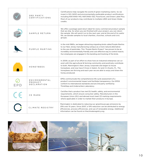| <b>3RD PARTY</b><br><b>CERTIFICATIONS</b>      | Certifications help navigate the world of green marketing claims. So we<br>invest in ISO-14001 and environmentally preferable product certifications<br>including NSF/ANSI-140, NSF/ANSI-332, FloorScore, and Green Label Plus.<br>Most of our products may contribute to multiple LEED and Green Globe<br>credits.                                                                              |
|------------------------------------------------|--------------------------------------------------------------------------------------------------------------------------------------------------------------------------------------------------------------------------------------------------------------------------------------------------------------------------------------------------------------------------------------------------|
| SAMPLE RETURN                                  | We offer a postage-paid return label for every commercial product sample<br>that we ship. So when you are finished with your project, you can return<br>the sample. We will send it on to the next user; and at the end of its useful<br>life, we donate samples to local charities, churches, schools and civic<br>groups.                                                                      |
| PURPLE MARTINS                                 | In the mid-1980s, we began attracting migrating birds called Purple Martins<br>to our New Jersey manufacturing campus as a more natural alternative<br>to the use of pesticides. This "Purple Martin Project" has proven to be an<br>incredibly environmentally friendly and cost effective way to control insects.<br>Our employees are engaged in the banding and tracking of the birds.       |
| <b>HONEYBEES</b>                               | In 2009, as part of an effort to show how an industrial enterprise can co-<br>exist with the agricultural & farming community and positively contribute<br>to both, Mannington's New Jersey corporate site began to house<br>honeybees, and now have 5 hives in Salem, NJ and 4 in Eustis, FL. The<br>honeybees are thriving and each year we are able to enjoy and share the<br>honey produced. |
| ENVIRONMENTAL<br>PRODUCT<br><b>DECLARATION</b> | EPDs communicate the comprehensive life cycle assessment of a<br>product's environmental impact and facilitate transparency. Our EPDS<br>conform to international standards and are 3rd party verified by<br>ThinkStep and Underwriters Laboratory.                                                                                                                                              |
| CE MARK                                        | Certifies that a product has met EU health, safety, and environmental<br>requirements, which ensure consumer safety. Manufacturers in the<br>European Union (EU) and abroad must meet CE marking requirements<br>where applicable in order to market their products in Europe.                                                                                                                   |
| CLIMATE REGISTRY                               | Mannington is dedicated to reducing our greenhouse gas emissions by<br>25% over 10 years. Since 2007, a 10% reduction can be attributed to energy<br>efficiencies, process efficiencies, and use of renewable energy. Additional<br>information can be found on theclimateregistry.org.                                                                                                          |